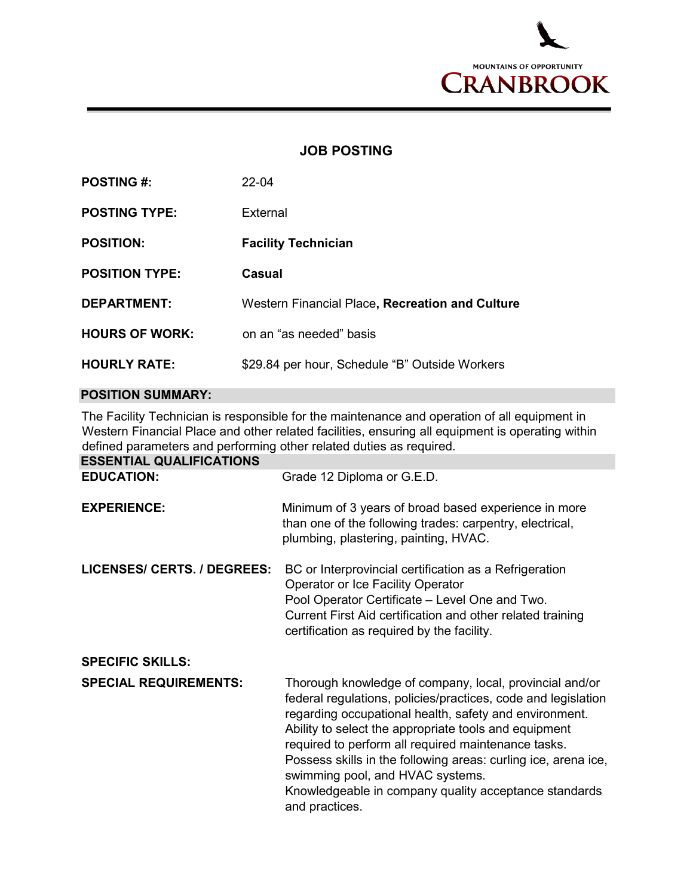

## **JOB POSTING**

| <b>POSTING #:</b>     | $22 - 04$                                       |
|-----------------------|-------------------------------------------------|
| <b>POSTING TYPE:</b>  | External                                        |
| <b>POSITION:</b>      | <b>Facility Technician</b>                      |
| <b>POSITION TYPE:</b> | Casual                                          |
| <b>DEPARTMENT:</b>    | Western Financial Place, Recreation and Culture |
| <b>HOURS OF WORK:</b> | on an "as needed" basis                         |
| <b>HOURLY RATE:</b>   | \$29.84 per hour, Schedule "B" Outside Workers  |

## **POSITION SUMMARY:**

The Facility Technician is responsible for the maintenance and operation of all equipment in Western Financial Place and other related facilities, ensuring all equipment is operating within defined parameters and performing other related duties as required.

| <b>ESSENTIAL QUALIFICATIONS</b> |                                                                                                                                                                                                                                                                                                                                                                                                                                                                                     |
|---------------------------------|-------------------------------------------------------------------------------------------------------------------------------------------------------------------------------------------------------------------------------------------------------------------------------------------------------------------------------------------------------------------------------------------------------------------------------------------------------------------------------------|
| <b>EDUCATION:</b>               | Grade 12 Diploma or G.E.D.                                                                                                                                                                                                                                                                                                                                                                                                                                                          |
| <b>EXPERIENCE:</b>              | Minimum of 3 years of broad based experience in more<br>than one of the following trades: carpentry, electrical,<br>plumbing, plastering, painting, HVAC.                                                                                                                                                                                                                                                                                                                           |
| LICENSES/ CERTS. / DEGREES:     | BC or Interprovincial certification as a Refrigeration<br>Operator or Ice Facility Operator<br>Pool Operator Certificate - Level One and Two.<br>Current First Aid certification and other related training<br>certification as required by the facility.                                                                                                                                                                                                                           |
| <b>SPECIFIC SKILLS:</b>         |                                                                                                                                                                                                                                                                                                                                                                                                                                                                                     |
| <b>SPECIAL REQUIREMENTS:</b>    | Thorough knowledge of company, local, provincial and/or<br>federal regulations, policies/practices, code and legislation<br>regarding occupational health, safety and environment.<br>Ability to select the appropriate tools and equipment<br>required to perform all required maintenance tasks.<br>Possess skills in the following areas: curling ice, arena ice,<br>swimming pool, and HVAC systems.<br>Knowledgeable in company quality acceptance standards<br>and practices. |